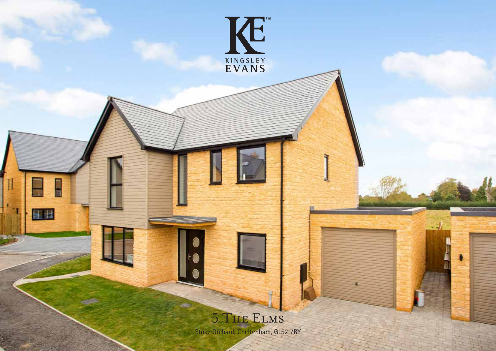# KE KINGSLEY<br>EVANS E  $\left| \right|$ 日时  $\cdot$   $\cdot$ 6 È в 0 5 THE ELMS Stoke Orchard, Cheltenham, GL52 7RY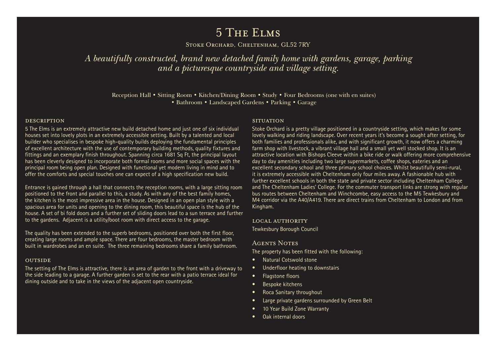## 5 The Elms

STOKE ORCHARD, CHELTENHAM, GL52 7RY

*A beautifully constructed, brand new detached family home with gardens, garage, parking and a picturesque countryside and village setting.* 

Reception Hall • Sitting Room • Kitchen/Dining Room • Study • Four Bedrooms (one with en suites) • Bathroom • Landscaped Gardens • Parking • Garage

#### **DESCRIPTION**

5 The Elms is an extremely attractive new build detached home and just one of six individual houses set into lovely plots in an extremely accessible setting. Built by a talented and local builder who specialises in bespoke high-quality builds deploying the fundamental principles of excellent architecture with the use of contemporary building methods, quality fixtures and fittings and an exemplary finish throughout. Spanning circa 1681 Sq Ft, the principal layout has been cleverly designed to incorporate both formal rooms and more social spaces with the principal room being open plan. Designed with functional yet modern living in mind and to offer the comforts and special touches one can expect of a high specification new build.

Entrance is gained through a hall that connects the reception rooms, with a large sitting room positioned to the front and parallel to this, a study. As with any of the best family homes, the kitchen is the most impressive area in the house. Designed in an open plan style with a spacious area for units and opening to the dining room, this beautiful space is the hub of the house. A set of bi fold doors and a further set of sliding doors lead to a sun terrace and further to the gardens. Adjacent is a utility/boot room with direct access to the garage.

The quality has been extended to the superb bedrooms, positioned over both the first floor, creating large rooms and ample space. There are four bedrooms, the master bedroom with built in wardrobes and an en suite. The three remaining bedrooms share a family bathroom.

#### **OUTSIDE**

The setting of The Elms is attractive, there is an area of garden to the front with a driveway to the side leading to a garage. A further garden is set to the rear with a patio terrace ideal for dining outside and to take in the views of the adjacent open countryside.

#### **SITUATION**

Stoke Orchard is a pretty village positioned in a countryside setting, which makes for some lovely walking and riding landscape. Over recent years it's become a sought after setting, for both families and professionals alike, and with significant growth, it now offers a charming farm shop with livestock, a vibrant village hall and a small yet well stocked shop. It is an attractive location with Bishops Cleeve within a bike ride or walk offering more comprehensive day to day amenities including two large supermarkets, coffee shops, eateries and an excellent secondary school and three primary school choices. Whilst beautifully semi-rural, it is extremely accessible with Cheltenham only four miles away. A fashionable hub with further excellent schools in both the state and private sector including Cheltenham College and The Cheltenham Ladies' College. For the commuter transport links are strong with regular bus routes between Cheltenham and Winchcombe, easy access to the M5 Tewkesbury and M4 corridor via the A40/A419. There are direct trains from Cheltenham to London and from Kingham.

local authority

Tewkesbury Borough Council

### Agents Notes

The property has been fitted with the following:

- Natural Cotswold stone
- Underfloor heating to downstairs
- Flagstone floors
- Bespoke kitchens
- Roca Sanitary throughout
- Large private gardens surrounded by Green Belt
- 10 Year Build Zone Warranty
- Oak internal doors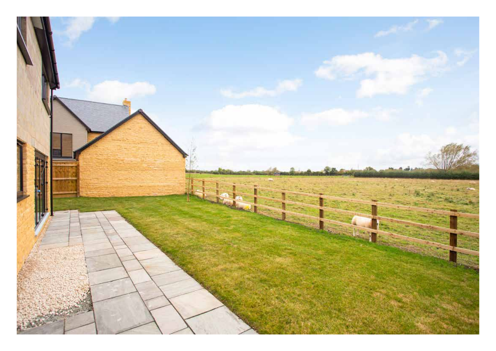